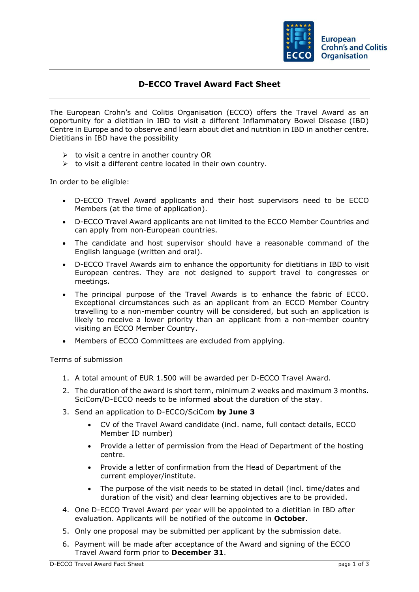

## **D-ECCO Travel Award Fact Sheet**

The European Crohn's and Colitis Organisation (ECCO) offers the Travel Award as an opportunity for a dietitian in IBD to visit a different Inflammatory Bowel Disease (IBD) Centre in Europe and to observe and learn about diet and nutrition in IBD in another centre. Dietitians in IBD have the possibility

- $\triangleright$  to visit a centre in another country OR
- $\triangleright$  to visit a different centre located in their own country.

In order to be eligible:

- D-ECCO Travel Award applicants and their host supervisors need to be ECCO Members (at the time of application).
- D-ECCO Travel Award applicants are not limited to the ECCO Member Countries and can apply from non-European countries.
- The candidate and host supervisor should have a reasonable command of the English language (written and oral).
- D-ECCO Travel Awards aim to enhance the opportunity for dietitians in IBD to visit European centres. They are not designed to support travel to congresses or meetings.
- The principal purpose of the Travel Awards is to enhance the fabric of ECCO. Exceptional circumstances such as an applicant from an ECCO Member Country travelling to a non-member country will be considered, but such an application is likely to receive a lower priority than an applicant from a non-member country visiting an ECCO Member Country.
- Members of ECCO Committees are excluded from applying.

Terms of submission

- 1. A total amount of EUR 1.500 will be awarded per D-ECCO Travel Award.
- 2. The duration of the award is short term, minimum 2 weeks and maximum 3 months. SciCom/D-ECCO needs to be informed about the duration of the stay.
- 3. Send an application to D-ECCO/SciCom **by June 3**
	- CV of the Travel Award candidate (incl. name, full contact details, ECCO Member ID number)
	- Provide a letter of permission from the Head of Department of the hosting centre.
	- Provide a letter of confirmation from the Head of Department of the current employer/institute.
	- The purpose of the visit needs to be stated in detail (incl. time/dates and duration of the visit) and clear learning objectives are to be provided.
- 4. One D-ECCO Travel Award per year will be appointed to a dietitian in IBD after evaluation. Applicants will be notified of the outcome in **October**.
- 5. Only one proposal may be submitted per applicant by the submission date.
- 6. Payment will be made after acceptance of the Award and signing of the ECCO Travel Award form prior to **December 31**.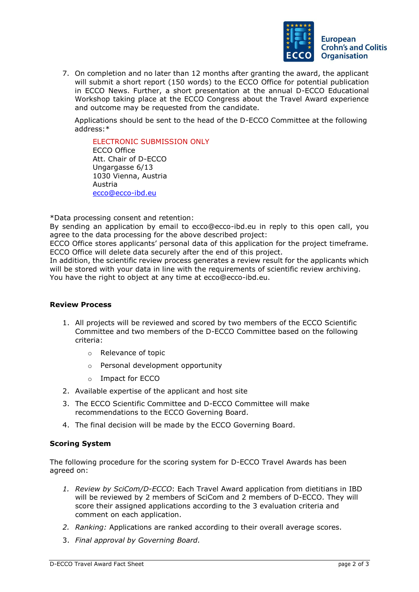

7. On completion and no later than 12 months after granting the award, the applicant will submit a short report (150 words) to the ECCO Office for potential publication in ECCO News. Further, a short presentation at the annual D-ECCO Educational Workshop taking place at the ECCO Congress about the Travel Award experience and outcome may be requested from the candidate.

Applications should be sent to the head of the D-ECCO Committee at the following address:\*

ELECTRONIC SUBMISSION ONLY ECCO Office Att. Chair of D-ECCO Ungargasse 6/13 1030 Vienna, Austria Austria [ecco@ecco-ibd.eu](mailto:ecco@ecco-ibd.eu)

\*Data processing consent and retention:

By sending an application by email to ecco@ecco-ibd.eu in reply to this open call, you agree to the data processing for the above described project:

ECCO Office stores applicants' personal data of this application for the project timeframe. ECCO Office will delete data securely after the end of this project.

In addition, the scientific review process generates a review result for the applicants which will be stored with your data in line with the requirements of scientific review archiving. You have the right to object at any time at ecco@ecco-ibd.eu.

## **Review Process**

- 1. All projects will be reviewed and scored by two members of the ECCO Scientific Committee and two members of the D-ECCO Committee based on the following criteria:
	- o Relevance of topic
	- o Personal development opportunity
	- o Impact for ECCO
- 2. Available expertise of the applicant and host site
- 3. The ECCO Scientific Committee and D-ECCO Committee will make recommendations to the ECCO Governing Board.
- 4. The final decision will be made by the ECCO Governing Board.

## **Scoring System**

The following procedure for the scoring system for D-ECCO Travel Awards has been agreed on:

- *1. Review by SciCom/D-ECCO*: Each Travel Award application from dietitians in IBD will be reviewed by 2 members of SciCom and 2 members of D-ECCO. They will score their assigned applications according to the 3 evaluation criteria and comment on each application.
- *2. Ranking:* Applications are ranked according to their overall average scores.
- 3. *Final approval by Governing Board.*